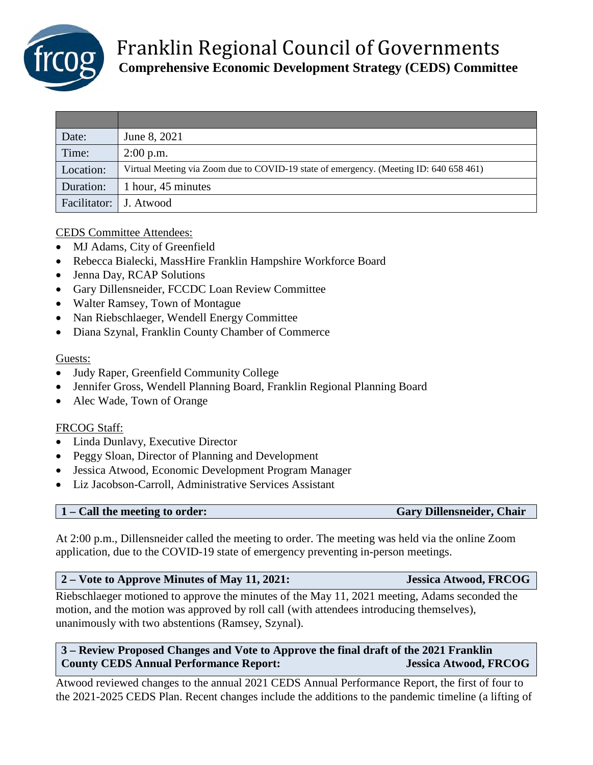

| Date:                    | June 8, 2021                                                                           |
|--------------------------|----------------------------------------------------------------------------------------|
| Time:                    | $2:00$ p.m.                                                                            |
| Location:                | Virtual Meeting via Zoom due to COVID-19 state of emergency. (Meeting ID: 640 658 461) |
| Duration:                | 1 hour, 45 minutes                                                                     |
| Facilitator:   J. Atwood |                                                                                        |

CEDS Committee Attendees:

- MJ Adams, City of Greenfield
- Rebecca Bialecki, MassHire Franklin Hampshire Workforce Board
- Jenna Day, RCAP Solutions
- Gary Dillensneider, FCCDC Loan Review Committee
- Walter Ramsey, Town of Montague
- Nan Riebschlaeger, Wendell Energy Committee
- Diana Szynal, Franklin County Chamber of Commerce

### Guests:

- Judy Raper, Greenfield Community College
- Jennifer Gross, Wendell Planning Board, Franklin Regional Planning Board
- Alec Wade, Town of Orange

### FRCOG Staff:

- Linda Dunlavy, Executive Director
- Peggy Sloan, Director of Planning and Development
- Jessica Atwood, Economic Development Program Manager
- Liz Jacobson-Carroll, Administrative Services Assistant

**1 – Call the meeting to order: Gary Dillensneider, Chair**

At 2:00 p.m., Dillensneider called the meeting to order. The meeting was held via the online Zoom application, due to the COVID-19 state of emergency preventing in-person meetings.

### **2 – Vote to Approve Minutes of May 11, 2021: Jessica Atwood, FRCOG**

Riebschlaeger motioned to approve the minutes of the May 11, 2021 meeting, Adams seconded the motion, and the motion was approved by roll call (with attendees introducing themselves), unanimously with two abstentions (Ramsey, Szynal).

# **3 – Review Proposed Changes and Vote to Approve the final draft of the 2021 Franklin County CEDS Annual Performance Report: Jessica Atwood, FRCOG**

Atwood reviewed changes to the annual 2021 CEDS Annual Performance Report, the first of four to the 2021-2025 CEDS Plan. Recent changes include the additions to the pandemic timeline (a lifting of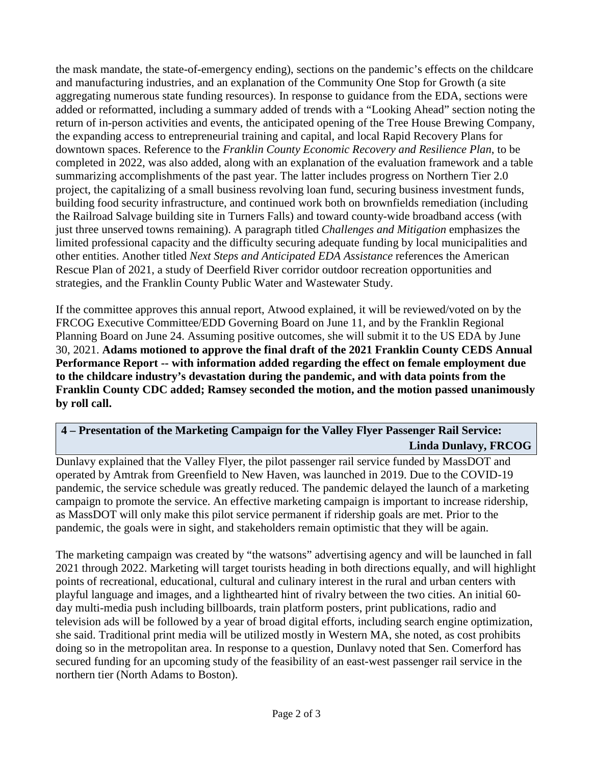the mask mandate, the state-of-emergency ending), sections on the pandemic's effects on the childcare and manufacturing industries, and an explanation of the Community One Stop for Growth (a site aggregating numerous state funding resources). In response to guidance from the EDA, sections were added or reformatted, including a summary added of trends with a "Looking Ahead" section noting the return of in-person activities and events, the anticipated opening of the Tree House Brewing Company, the expanding access to entrepreneurial training and capital, and local Rapid Recovery Plans for downtown spaces. Reference to the *Franklin County Economic Recovery and Resilience Plan*, to be completed in 2022, was also added, along with an explanation of the evaluation framework and a table summarizing accomplishments of the past year. The latter includes progress on Northern Tier 2.0 project, the capitalizing of a small business revolving loan fund, securing business investment funds, building food security infrastructure, and continued work both on brownfields remediation (including the Railroad Salvage building site in Turners Falls) and toward county-wide broadband access (with just three unserved towns remaining). A paragraph titled *Challenges and Mitigation* emphasizes the limited professional capacity and the difficulty securing adequate funding by local municipalities and other entities. Another titled *Next Steps and Anticipated EDA Assistance* references the American Rescue Plan of 2021, a study of Deerfield River corridor outdoor recreation opportunities and strategies, and the Franklin County Public Water and Wastewater Study.

If the committee approves this annual report, Atwood explained, it will be reviewed/voted on by the FRCOG Executive Committee/EDD Governing Board on June 11, and by the Franklin Regional Planning Board on June 24. Assuming positive outcomes, she will submit it to the US EDA by June 30, 2021. **Adams motioned to approve the final draft of the 2021 Franklin County CEDS Annual Performance Report -- with information added regarding the effect on female employment due to the childcare industry's devastation during the pandemic, and with data points from the Franklin County CDC added; Ramsey seconded the motion, and the motion passed unanimously by roll call.**

# **4 – Presentation of the Marketing Campaign for the Valley Flyer Passenger Rail Service: Linda Dunlavy, FRCOG**

Dunlavy explained that the Valley Flyer, the pilot passenger rail service funded by MassDOT and operated by Amtrak from Greenfield to New Haven, was launched in 2019. Due to the COVID-19 pandemic, the service schedule was greatly reduced. The pandemic delayed the launch of a marketing campaign to promote the service. An effective marketing campaign is important to increase ridership, as MassDOT will only make this pilot service permanent if ridership goals are met. Prior to the pandemic, the goals were in sight, and stakeholders remain optimistic that they will be again.

The marketing campaign was created by "the watsons" advertising agency and will be launched in fall 2021 through 2022. Marketing will target tourists heading in both directions equally, and will highlight points of recreational, educational, cultural and culinary interest in the rural and urban centers with playful language and images, and a lighthearted hint of rivalry between the two cities. An initial 60 day multi-media push including billboards, train platform posters, print publications, radio and television ads will be followed by a year of broad digital efforts, including search engine optimization, she said. Traditional print media will be utilized mostly in Western MA, she noted, as cost prohibits doing so in the metropolitan area. In response to a question, Dunlavy noted that Sen. Comerford has secured funding for an upcoming study of the feasibility of an east-west passenger rail service in the northern tier (North Adams to Boston).